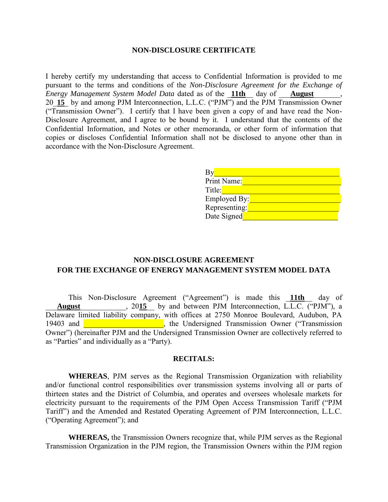#### **NON-DISCLOSURE CERTIFICATE**

I hereby certify my understanding that access to Confidential Information is provided to me pursuant to the terms and conditions of the *Non-Disclosure Agreement for the Exchange of Energy Management System Model Data* dated as of the \_**11th**\_\_ day of \_\_\_**August**\_\_\_\_\_\_\_, 20\_**15**\_ by and among PJM Interconnection, L.L.C. ("PJM") and the PJM Transmission Owner ("Transmission Owner"). I certify that I have been given a copy of and have read the Non-Disclosure Agreement, and I agree to be bound by it. I understand that the contents of the Confidential Information, and Notes or other memoranda, or other form of information that copies or discloses Confidential Information shall not be disclosed to anyone other than in accordance with the Non-Disclosure Agreement.

| B۱            |  |
|---------------|--|
| Print Name:   |  |
| Title:        |  |
| Employed By:  |  |
| Representing: |  |
| Date Signed   |  |

# **NON-DISCLOSURE AGREEMENT FOR THE EXCHANGE OF ENERGY MANAGEMENT SYSTEM MODEL DATA**

This Non-Disclosure Agreement ("Agreement") is made this \_**11th**\_\_ day of August 1.1.1.2. 2015 by and between PJM Interconnection, L.L.C. ("PJM"), a Delaware limited liability company, with offices at 2750 Monroe Boulevard, Audubon, PA 19403 and **Transmission**, the Undersigned Transmission Owner ("Transmission Owner") (hereinafter PJM and the Undersigned Transmission Owner are collectively referred to as "Parties" and individually as a "Party).

### **RECITALS:**

**WHEREAS**, PJM serves as the Regional Transmission Organization with reliability and/or functional control responsibilities over transmission systems involving all or parts of thirteen states and the District of Columbia, and operates and oversees wholesale markets for electricity pursuant to the requirements of the PJM Open Access Transmission Tariff ("PJM Tariff") and the Amended and Restated Operating Agreement of PJM Interconnection, L.L.C. ("Operating Agreement"); and

**WHEREAS,** the Transmission Owners recognize that, while PJM serves as the Regional Transmission Organization in the PJM region, the Transmission Owners within the PJM region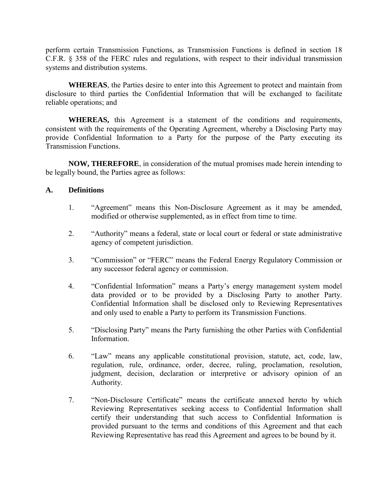perform certain Transmission Functions, as Transmission Functions is defined in section 18 C.F.R. § 358 of the FERC rules and regulations, with respect to their individual transmission systems and distribution systems.

**WHEREAS**, the Parties desire to enter into this Agreement to protect and maintain from disclosure to third parties the Confidential Information that will be exchanged to facilitate reliable operations; and

**WHEREAS,** this Agreement is a statement of the conditions and requirements, consistent with the requirements of the Operating Agreement, whereby a Disclosing Party may provide Confidential Information to a Party for the purpose of the Party executing its Transmission Functions.

**NOW, THEREFORE**, in consideration of the mutual promises made herein intending to be legally bound, the Parties agree as follows:

### **A. Definitions**

- 1. "Agreement" means this Non-Disclosure Agreement as it may be amended, modified or otherwise supplemented, as in effect from time to time.
- 2. "Authority" means a federal, state or local court or federal or state administrative agency of competent jurisdiction.
- 3. "Commission" or "FERC" means the Federal Energy Regulatory Commission or any successor federal agency or commission.
- 4. "Confidential Information" means a Party's energy management system model data provided or to be provided by a Disclosing Party to another Party. Confidential Information shall be disclosed only to Reviewing Representatives and only used to enable a Party to perform its Transmission Functions.
- 5. "Disclosing Party" means the Party furnishing the other Parties with Confidential Information.
- 6. "Law" means any applicable constitutional provision, statute, act, code, law, regulation, rule, ordinance, order, decree, ruling, proclamation, resolution, judgment, decision, declaration or interpretive or advisory opinion of an Authority.
- 7. "Non-Disclosure Certificate" means the certificate annexed hereto by which Reviewing Representatives seeking access to Confidential Information shall certify their understanding that such access to Confidential Information is provided pursuant to the terms and conditions of this Agreement and that each Reviewing Representative has read this Agreement and agrees to be bound by it.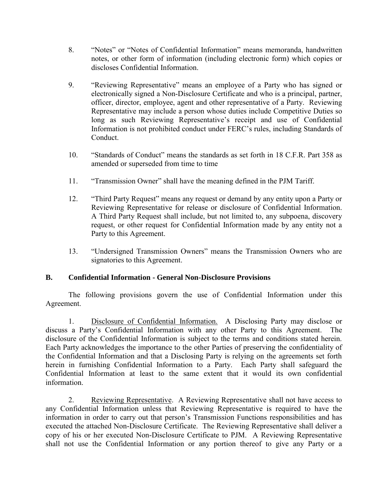- 8. "Notes" or "Notes of Confidential Information" means memoranda, handwritten notes, or other form of information (including electronic form) which copies or discloses Confidential Information.
- 9. "Reviewing Representative" means an employee of a Party who has signed or electronically signed a Non-Disclosure Certificate and who is a principal, partner, officer, director, employee, agent and other representative of a Party. Reviewing Representative may include a person whose duties include Competitive Duties so long as such Reviewing Representative's receipt and use of Confidential Information is not prohibited conduct under FERC's rules, including Standards of Conduct.
- 10. "Standards of Conduct" means the standards as set forth in 18 C.F.R. Part 358 as amended or superseded from time to time
- 11. "Transmission Owner" shall have the meaning defined in the PJM Tariff.
- 12. "Third Party Request" means any request or demand by any entity upon a Party or Reviewing Representative for release or disclosure of Confidential Information. A Third Party Request shall include, but not limited to, any subpoena, discovery request, or other request for Confidential Information made by any entity not a Party to this Agreement.
- 13. "Undersigned Transmission Owners" means the Transmission Owners who are signatories to this Agreement.

# **B. Confidential Information - General Non-Disclosure Provisions**

The following provisions govern the use of Confidential Information under this Agreement.

 1. Disclosure of Confidential Information. A Disclosing Party may disclose or discuss a Party's Confidential Information with any other Party to this Agreement. disclosure of the Confidential Information is subject to the terms and conditions stated herein. Each Party acknowledges the importance to the other Parties of preserving the confidentiality of the Confidential Information and that a Disclosing Party is relying on the agreements set forth herein in furnishing Confidential Information to a Party. Each Party shall safeguard the Confidential Information at least to the same extent that it would its own confidential information.

2. Reviewing Representative. A Reviewing Representative shall not have access to any Confidential Information unless that Reviewing Representative is required to have the information in order to carry out that person's Transmission Functions responsibilities and has executed the attached Non-Disclosure Certificate. The Reviewing Representative shall deliver a copy of his or her executed Non-Disclosure Certificate to PJM. A Reviewing Representative shall not use the Confidential Information or any portion thereof to give any Party or a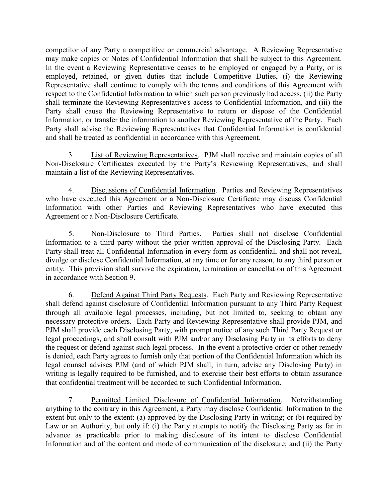competitor of any Party a competitive or commercial advantage. A Reviewing Representative may make copies or Notes of Confidential Information that shall be subject to this Agreement. In the event a Reviewing Representative ceases to be employed or engaged by a Party, or is employed, retained, or given duties that include Competitive Duties, (i) the Reviewing Representative shall continue to comply with the terms and conditions of this Agreement with respect to the Confidential Information to which such person previously had access, (ii) the Party shall terminate the Reviewing Representative's access to Confidential Information, and (iii) the Party shall cause the Reviewing Representative to return or dispose of the Confidential Information, or transfer the information to another Reviewing Representative of the Party. Each Party shall advise the Reviewing Representatives that Confidential Information is confidential and shall be treated as confidential in accordance with this Agreement.

 3. List of Reviewing Representatives. PJM shall receive and maintain copies of all Non-Disclosure Certificates executed by the Party's Reviewing Representatives, and shall maintain a list of the Reviewing Representatives.

 4. Discussions of Confidential Information. Parties and Reviewing Representatives who have executed this Agreement or a Non-Disclosure Certificate may discuss Confidential Information with other Parties and Reviewing Representatives who have executed this Agreement or a Non-Disclosure Certificate.

5. Non-Disclosure to Third Parties. Parties shall not disclose Confidential Information to a third party without the prior written approval of the Disclosing Party. Each Party shall treat all Confidential Information in every form as confidential, and shall not reveal, divulge or disclose Confidential Information, at any time or for any reason, to any third person or entity. This provision shall survive the expiration, termination or cancellation of this Agreement in accordance with Section 9.

6. Defend Against Third Party Requests. Each Party and Reviewing Representative shall defend against disclosure of Confidential Information pursuant to any Third Party Request through all available legal processes, including, but not limited to, seeking to obtain any necessary protective orders. Each Party and Reviewing Representative shall provide PJM, and PJM shall provide each Disclosing Party, with prompt notice of any such Third Party Request or legal proceedings, and shall consult with PJM and/or any Disclosing Party in its efforts to deny the request or defend against such legal process. In the event a protective order or other remedy is denied, each Party agrees to furnish only that portion of the Confidential Information which its legal counsel advises PJM (and of which PJM shall, in turn, advise any Disclosing Party) in writing is legally required to be furnished, and to exercise their best efforts to obtain assurance that confidential treatment will be accorded to such Confidential Information.

 7. Permitted Limited Disclosure of Confidential Information. Notwithstanding anything to the contrary in this Agreement, a Party may disclose Confidential Information to the extent but only to the extent: (a) approved by the Disclosing Party in writing; or (b) required by Law or an Authority, but only if: (i) the Party attempts to notify the Disclosing Party as far in advance as practicable prior to making disclosure of its intent to disclose Confidential Information and of the content and mode of communication of the disclosure; and (ii) the Party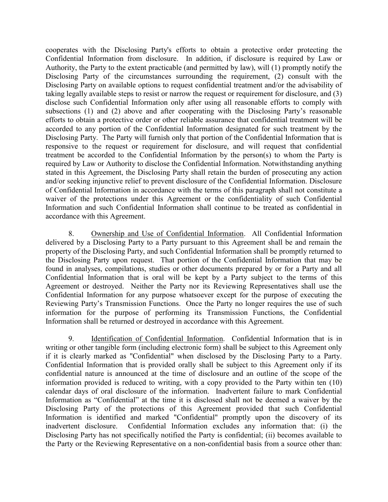cooperates with the Disclosing Party's efforts to obtain a protective order protecting the Confidential Information from disclosure. In addition, if disclosure is required by Law or Authority, the Party to the extent practicable (and permitted by law), will (1) promptly notify the Disclosing Party of the circumstances surrounding the requirement, (2) consult with the Disclosing Party on available options to request confidential treatment and/or the advisability of taking legally available steps to resist or narrow the request or requirement for disclosure, and (3) disclose such Confidential Information only after using all reasonable efforts to comply with subsections (1) and (2) above and after cooperating with the Disclosing Party's reasonable efforts to obtain a protective order or other reliable assurance that confidential treatment will be accorded to any portion of the Confidential Information designated for such treatment by the Disclosing Party. The Party will furnish only that portion of the Confidential Information that is responsive to the request or requirement for disclosure, and will request that confidential treatment be accorded to the Confidential Information by the person(s) to whom the Party is required by Law or Authority to disclose the Confidential Information. Notwithstanding anything stated in this Agreement, the Disclosing Party shall retain the burden of prosecuting any action and/or seeking injunctive relief to prevent disclosure of the Confidential Information. Disclosure of Confidential Information in accordance with the terms of this paragraph shall not constitute a waiver of the protections under this Agreement or the confidentiality of such Confidential Information and such Confidential Information shall continue to be treated as confidential in accordance with this Agreement.

 8. Ownership and Use of Confidential Information. All Confidential Information delivered by a Disclosing Party to a Party pursuant to this Agreement shall be and remain the property of the Disclosing Party, and such Confidential Information shall be promptly returned to the Disclosing Party upon request. That portion of the Confidential Information that may be found in analyses, compilations, studies or other documents prepared by or for a Party and all Confidential Information that is oral will be kept by a Party subject to the terms of this Agreement or destroyed. Neither the Party nor its Reviewing Representatives shall use the Confidential Information for any purpose whatsoever except for the purpose of executing the Reviewing Party's Transmission Functions. Once the Party no longer requires the use of such information for the purpose of performing its Transmission Functions, the Confidential Information shall be returned or destroyed in accordance with this Agreement.

 9. Identification of Confidential Information. Confidential Information that is in writing or other tangible form (including electronic form) shall be subject to this Agreement only if it is clearly marked as "Confidential" when disclosed by the Disclosing Party to a Party. Confidential Information that is provided orally shall be subject to this Agreement only if its confidential nature is announced at the time of disclosure and an outline of the scope of the information provided is reduced to writing, with a copy provided to the Party within ten (10) calendar days of oral disclosure of the information. Inadvertent failure to mark Confidential Information as "Confidential" at the time it is disclosed shall not be deemed a waiver by the Disclosing Party of the protections of this Agreement provided that such Confidential Information is identified and marked "Confidential" promptly upon the discovery of its inadvertent disclosure. Confidential Information excludes any information that: (i) the Disclosing Party has not specifically notified the Party is confidential; (ii) becomes available to the Party or the Reviewing Representative on a non-confidential basis from a source other than: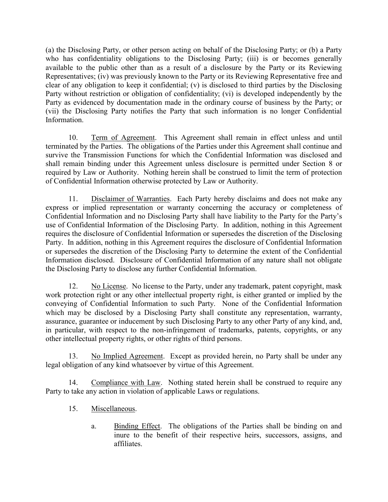(a) the Disclosing Party, or other person acting on behalf of the Disclosing Party; or (b) a Party who has confidentiality obligations to the Disclosing Party; (iii) is or becomes generally available to the public other than as a result of a disclosure by the Party or its Reviewing Representatives; (iv) was previously known to the Party or its Reviewing Representative free and clear of any obligation to keep it confidential; (v) is disclosed to third parties by the Disclosing Party without restriction or obligation of confidentiality; (vi) is developed independently by the Party as evidenced by documentation made in the ordinary course of business by the Party; or (vii) the Disclosing Party notifies the Party that such information is no longer Confidential Information.

 10. Term of Agreement. This Agreement shall remain in effect unless and until terminated by the Parties. The obligations of the Parties under this Agreement shall continue and survive the Transmission Functions for which the Confidential Information was disclosed and shall remain binding under this Agreement unless disclosure is permitted under Section 8 or required by Law or Authority. Nothing herein shall be construed to limit the term of protection of Confidential Information otherwise protected by Law or Authority.

 11. Disclaimer of Warranties. Each Party hereby disclaims and does not make any express or implied representation or warranty concerning the accuracy or completeness of Confidential Information and no Disclosing Party shall have liability to the Party for the Party's use of Confidential Information of the Disclosing Party. In addition, nothing in this Agreement requires the disclosure of Confidential Information or supersedes the discretion of the Disclosing Party. In addition, nothing in this Agreement requires the disclosure of Confidential Information or supersedes the discretion of the Disclosing Party to determine the extent of the Confidential Information disclosed. Disclosure of Confidential Information of any nature shall not obligate the Disclosing Party to disclose any further Confidential Information.

 12. No License. No license to the Party, under any trademark, patent copyright, mask work protection right or any other intellectual property right, is either granted or implied by the conveying of Confidential Information to such Party. None of the Confidential Information which may be disclosed by a Disclosing Party shall constitute any representation, warranty, assurance, guarantee or inducement by such Disclosing Party to any other Party of any kind, and, in particular, with respect to the non-infringement of trademarks, patents, copyrights, or any other intellectual property rights, or other rights of third persons.

 13. No Implied Agreement. Except as provided herein, no Party shall be under any legal obligation of any kind whatsoever by virtue of this Agreement.

 14. Compliance with Law. Nothing stated herein shall be construed to require any Party to take any action in violation of applicable Laws or regulations.

- 15. Miscellaneous.
	- a. Binding Effect. The obligations of the Parties shall be binding on and inure to the benefit of their respective heirs, successors, assigns, and affiliates.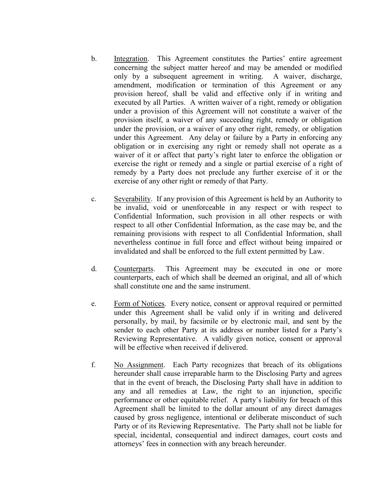- b. Integration. This Agreement constitutes the Parties' entire agreement concerning the subject matter hereof and may be amended or modified only by a subsequent agreement in writing. A waiver, discharge, amendment, modification or termination of this Agreement or any provision hereof, shall be valid and effective only if in writing and executed by all Parties. A written waiver of a right, remedy or obligation under a provision of this Agreement will not constitute a waiver of the provision itself, a waiver of any succeeding right, remedy or obligation under the provision, or a waiver of any other right, remedy, or obligation under this Agreement. Any delay or failure by a Party in enforcing any obligation or in exercising any right or remedy shall not operate as a waiver of it or affect that party's right later to enforce the obligation or exercise the right or remedy and a single or partial exercise of a right of remedy by a Party does not preclude any further exercise of it or the exercise of any other right or remedy of that Party.
- c. Severability. If any provision of this Agreement is held by an Authority to be invalid, void or unenforceable in any respect or with respect to Confidential Information, such provision in all other respects or with respect to all other Confidential Information, as the case may be, and the remaining provisions with respect to all Confidential Information, shall nevertheless continue in full force and effect without being impaired or invalidated and shall be enforced to the full extent permitted by Law.
- d. Counterparts. This Agreement may be executed in one or more counterparts, each of which shall be deemed an original, and all of which shall constitute one and the same instrument.
- e. Form of Notices. Every notice, consent or approval required or permitted under this Agreement shall be valid only if in writing and delivered personally, by mail, by facsimile or by electronic mail, and sent by the sender to each other Party at its address or number listed for a Party's Reviewing Representative. A validly given notice, consent or approval will be effective when received if delivered.
- f. No Assignment. Each Party recognizes that breach of its obligations hereunder shall cause irreparable harm to the Disclosing Party and agrees that in the event of breach, the Disclosing Party shall have in addition to any and all remedies at Law, the right to an injunction, specific performance or other equitable relief. A party's liability for breach of this Agreement shall be limited to the dollar amount of any direct damages caused by gross negligence, intentional or deliberate misconduct of such Party or of its Reviewing Representative. The Party shall not be liable for special, incidental, consequential and indirect damages, court costs and attorneys' fees in connection with any breach hereunder.